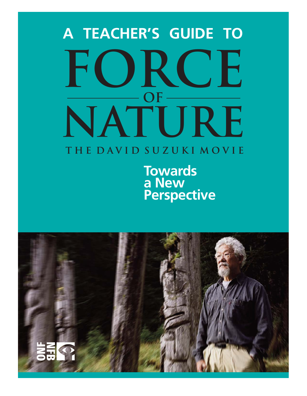# **force OF NATURE A TEACHER'S GUIDE TO**

## **THE DAVID SUZUKI MOVIE**

**Towards a New Perspective**

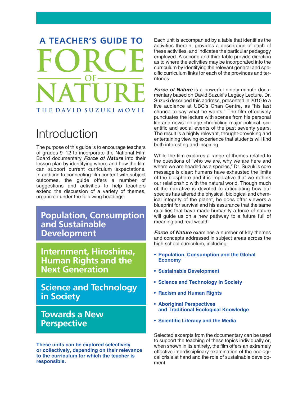## **A TEACHER'S GUIDE TO FORCE OF NATURE THE DAVID SUZUKI MOVIE**

## Introduction

The purpose of this guide is to encourage teachers of grades 9–12 to incorporate the National Film Board documentary *Force of Nature* into their lesson plan by identifying where and how the film can support current curriculum expectations. In addition to connecting film content with subject outcomes, the guide offers a number of suggestions and activities to help teachers extend the discussion of a variety of themes, organized under the following headings:

**Population, Consumption and Sustainable Development**

**Internment, Hiroshima, Human Rights and the Next Generation**

**Science and Technology in Society**

### **Towards a New Perspective**

**These units can be explored selectively or collectively, depending on their relevance to the curriculum for which the teacher is responsible.** 

Each unit is accompanied by a table that identifies the activities therein, provides a description of each of these activities, and indicates the particular pedagogy employed. A second and third table provide direction as to where the activities may be incorporated into the curriculum by identifying the relevant general and specific curriculum links for each of the provinces and territories.

*Force of Nature* is a powerful ninety-minute documentary based on David Suzuki's Legacy Lecture. Dr. Suzuki described this address, presented in 2010 to a live audience at UBC's Chan Centre, as "his last chance to say what he wants." The film effectively punctuates the lecture with scenes from his personal life and news footage chronicling major political, scientific and social events of the past seventy years. The result is a highly relevant, thought-provoking and entertaining viewing experience that students will find both interesting and inspiring.

While the film explores a range of themes related to the questions of "who we are, why we are here and where we are headed as a species," Dr. Suzuki's core message is clear: humans have exhausted the limits of the biosphere and it is imperative that we rethink our relationship with the natural world. Though much of the narrative is devoted to articulating how our species has altered the physical, biological and chemical integrity of the planet, he does offer viewers a blueprint for survival and his assurance that the same qualities that have made humanity a force of nature will guide us on a new pathway to a future full of meaning and real wealth.

*Force of Nature* examines a number of key themes and concepts addressed in subject areas across the high school curriculum, including:

- **Population, Consumption and the Global Economy**
- **Sustainable Development**
- **Science and Technology in Society**
- **Racism and Human Rights**
- **Aboriginal Perspectives and Traditional Ecological Knowledge**
- **Scientific Literacy and the Media**

Selected excerpts from the documentary can be used to support the teaching of these topics individually or, when shown in its entirety, the film offers an extremely effective interdisciplinary examination of the ecological crisis at hand and the role of sustainable development.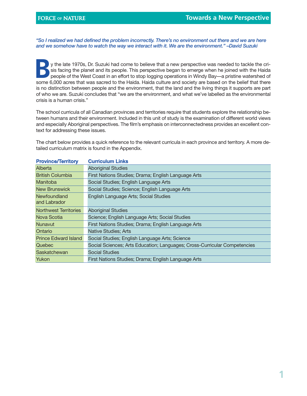*"So I realized we had defined the problem incorrectly. There's no environment out there and we are here and we somehow have to watch the way we interact with it. We are the environment." –David Suzuki*

y the late 1970s, Dr. Suzuki had come to believe that a new perspective was needed to tackle the crisis facing the planet and its people. This perspective began to emerge when he joined with the Haida people of the West Co sis facing the planet and its people. This perspective began to emerge when he joined with the Haida people of the West Coast in an effort to stop logging operations in Windy Bay—a pristine watershed of some 6,000 acres that was sacred to the Haida. Haida culture and society are based on the belief that there is no distinction between people and the environment, that the land and the living things it supports are part of who we are. Suzuki concludes that "we are the environment, and what we've labelled as the environmental crisis is a human crisis."

The school curricula of all Canadian provinces and territories require that students explore the relationship between humans and their environment. Included in this unit of study is the examination of different world views and especially Aboriginal perspectives. The film's emphasis on interconnectedness provides an excellent context for addressing these issues.

The chart below provides a quick reference to the relevant curricula in each province and territory. A more detailed curriculum matrix is found in the Appendix.

| <b>Curriculum Links</b>                                                   |
|---------------------------------------------------------------------------|
| <b>Aboriginal Studies</b>                                                 |
| First Nations Studies; Drama; English Language Arts                       |
| Social Studies; English Language Arts                                     |
| Social Studies; Science; English Language Arts                            |
| English Language Arts; Social Studies                                     |
| <b>Aboriginal Studies</b>                                                 |
| Science; English Language Arts; Social Studies                            |
| First Nations Studies; Drama; English Language Arts                       |
| <b>Native Studies; Arts</b>                                               |
| Social Studies; English Language Arts; Science                            |
| Social Sciences; Arts Education; Languages; Cross-Curricular Competencies |
| <b>Social Studies</b>                                                     |
| First Nations Studies; Drama; English Language Arts                       |
|                                                                           |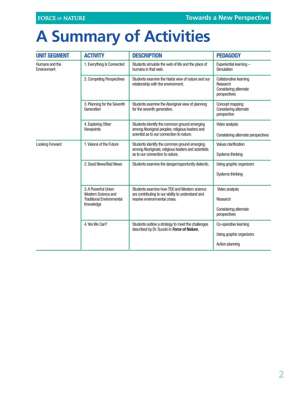## **A Summary of Activities**

| <b>UNIT SEGMENT</b>           | <b>ACTIVITY</b>                             | <b>DESCRIPTION</b>                                                                                                                 | <b>PEDAGOGY</b>                                                             |
|-------------------------------|---------------------------------------------|------------------------------------------------------------------------------------------------------------------------------------|-----------------------------------------------------------------------------|
| Humans and the<br>Environment | 1. Everything Is Connected                  | Students simulate the web of life and the place of<br>humans in that web.                                                          | Experiential learning -<br>Simulation                                       |
|                               | 2. Competing Perspectives                   | Students examine the Haida view of nature and our<br>relationship with the environment.                                            | Collaborative learning<br>Research<br>Considering alternate<br>perspectives |
|                               | 3. Planning for the Seventh<br>Generation   | Students examine the Aboriginal view of planning<br>for the seventh generation.                                                    | Concept mapping<br>Considering alternate<br>perspective                     |
|                               | 4. Exploring Other<br>Viewpoints            | Students identify the common ground emerging<br>among Aboriginal peoples, religious leaders and                                    | Video analysis                                                              |
|                               |                                             | scientist as to our connection to nature.                                                                                          | Considering alternate perspectives                                          |
| <b>Looking Forward</b>        | 1. Visions of the Future                    | Students identify the common ground emerging                                                                                       | Values clarification                                                        |
|                               |                                             | among Aboriginals, religious leaders and scientists<br>as to our connection to nature.                                             | Systems thinking                                                            |
|                               | 2. Good News/Bad News                       | Students examine the danger/opportunity dialectic.                                                                                 | Using graphic organizers                                                    |
|                               |                                             |                                                                                                                                    | Systems thinking                                                            |
|                               | 3. A Powerful Union:<br>Western Science and | Students examine how TEK and Western science<br>are contributing to our ability to understand and<br>resolve environmental crises. | Video analysis                                                              |
|                               | <b>Traditional Environmental</b>            |                                                                                                                                    | Research                                                                    |
|                               | Knowledge                                   |                                                                                                                                    | Considering alternate<br>perspectives                                       |
|                               | 4. Yes We Can?                              | Students outline a strategy to meet the challenges                                                                                 | Co-operative learning                                                       |
|                               |                                             | described by Dr. Suzuki in Force of Nature.                                                                                        | Using graphic organizers                                                    |
|                               |                                             |                                                                                                                                    | <b>Action planning</b>                                                      |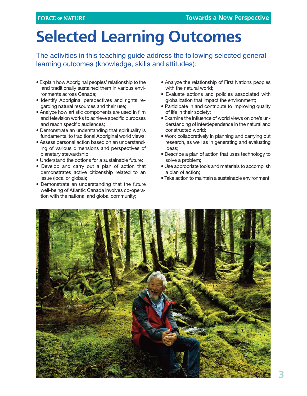## **Selected Learning Outcomes**

The activities in this teaching guide address the following selected general learning outcomes (knowledge, skills and attitudes):

- Explain how Aboriginal peoples' relationship to the land traditionally sustained them in various environments across Canada;
- Identify Aboriginal perspectives and rights regarding natural resources and their use;
- Analyze how artistic components are used in film and television works to achieve specific purposes and reach specific audiences;
- Demonstrate an understanding that spirituality is fundamental to traditional Aboriginal world views;
- Assess personal action based on an understanding of various dimensions and perspectives of planetary stewardship;
- Understand the options for a sustainable future;
- Develop and carry out a plan of action that demonstrates active citizenship related to an issue (local or global);
- Demonstrate an understanding that the future well-being of Atlantic Canada involves co-operation with the national and global community;
- Analyze the relationship of First Nations peoples with the natural world;
- Evaluate actions and policies associated with globalization that impact the environment;
- Participate in and contribute to improving quality of life in their society;
- Examine the influence of world views on one's understanding of interdependence in the natural and constructed world;
- Work collaboratively in planning and carrying out research, as well as in generating and evaluating ideas;
- Describe a plan of action that uses technology to solve a problem;
- Use appropriate tools and materials to accomplish a plan of action;
- Take action to maintain a sustainable environment.

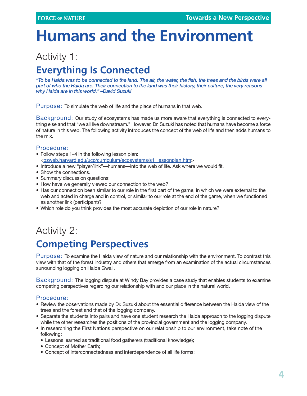## **Humans and the Environment**

### Activity 1:

## **Everything Is Connected**

*"To be Haida was to be connected to the land. The air, the water, the fish, the trees and the birds were all part of who the Haida are. Their connection to the land was their history, their culture, the very reasons why Haida are in this world." –David Suzuki*

Purpose: To simulate the web of life and the place of humans in that web.

Background: Our study of ecosystems has made us more aware that everything is connected to everything else and that "we all live downstream." However, Dr. Suzuki has noted that humans have become a force of nature in this web. The following activity introduces the concept of the web of life and then adds humans to the mix.

#### Procedure:

- Follow steps 1–4 in the following lesson plan: <[pzweb.harvard.edu/ucp/curriculum/ecosystems/s1\\_lessonplan.htm](http://pzweb.harvard.edu/ucp/curriculum/ecosystems/s1_lessonplan.htm)>
- Introduce a new "player/link"—humans—into the web of life. Ask where we would fit.
- Show the connections.
- Summary discussion questions:
- How have we generally viewed our connection to the web?
- Has our connection been similar to our role in the first part of the game, in which we were external to the web and acted in charge and in control, or similar to our role at the end of the game, when we functioned as another link (participant)?
- Which role do you think provides the most accurate depiction of our role in nature?

## Activity 2: **Competing Perspectives**

Purpose: To examine the Haida view of nature and our relationship with the environment. To contrast this view with that of the forest industry and others that emerge from an examination of the actual circumstances surrounding logging on Haida Gwaii.

Background: The logging dispute at Windy Bay provides a case study that enables students to examine competing perspectives regarding our relationship with and our place in the natural world.

#### Procedure:

- Review the observations made by Dr. Suzuki about the essential difference between the Haida view of the trees and the forest and that of the logging company.
- Separate the students into pairs and have one student research the Haida approach to the logging dispute while the other researches the positions of the provincial government and the logging company.
- In researching the First Nations perspective on our relationship to our environment, take note of the following:
	- Lessons learned as traditional food gatherers (traditional knowledge);
	- Concept of Mother Earth;
	- Concept of interconnectedness and interdependence of all life forms;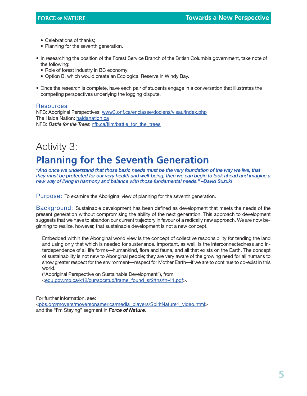- Celebrations of thanks;
- Planning for the seventh generation.
- In researching the position of the Forest Service Branch of the British Columbia government, take note of the following:
	- Role of forest industry in BC economy;
	- Option B, which would create an Ecological Reserve in Windy Bay.
- Once the research is complete, have each pair of students engage in a conversation that illustrates the competing perspectives underlying the logging dispute.

#### **Resources**

NFB: Aboriginal Perspectives: [www3.onf.ca/enclasse/doclens/visau/index.php](http://www3.onf.ca/enclasse/doclens/visau/index.php) The Haida Nation: [haidanation.ca](http://www.haidanation.ca/) NFB: Battle for the Trees: [nfb.ca/film/battle\\_for\\_the\\_trees](http://www.nfb.ca/film/battle_for_the_trees/)

## Activity 3: **Planning for the Seventh Generation**

*"And once we understand that those basic needs must be the very foundation of the way we live, that they must be protected for our very health and well-being, then we can begin to look ahead and imagine a new way of living in harmony and balance with those fundamental needs." –David Suzuki*

Purpose: To examine the Aboriginal view of planning for the seventh generation.

Background: Sustainable development has been defined as development that meets the needs of the present generation without compromising the ability of the next generation. This approach to development suggests that we have to abandon our current trajectory in favour of a radically new approach. We are now beginning to realize, however, that sustainable development is not a new concept.

Embedded within the Aboriginal world view is the concept of collective responsibility for tending the land and using only that which is needed for sustenance. Important, as well, is the interconnectedness and interdependence of all life forms—humankind, flora and fauna, and all that exists on the Earth. The concept of sustainability is not new to Aboriginal people; they are very aware of the growing need for all humans to show greater respect for the environment—respect for Mother Earth—if we are to continue to co-exist in this world.

("Aboriginal Perspective on Sustainable Development"), from <[edu.gov.mb.ca/k12/cur/socstud/frame\\_found\\_sr2/tns/tn-41.pdf](http://www.edu.gov.mb.ca/k12/cur/socstud/frame_found_sr2/tns/tn-41.pdf)>.

For further information, see: <[pbs.org/moyers/moyersonamerica/media\\_players/SpiritNature1\\_video.html](http://www.pbs.org/moyers/moyersonamerica/media_players/SpiritNature1_video.html)> and the "I'm Staying" segment in *Force of Nature*.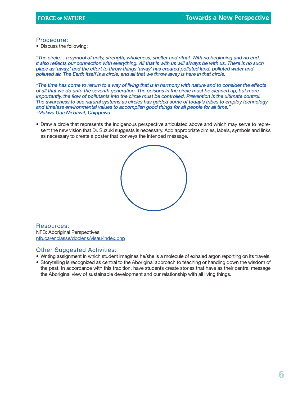#### Procedure:

• Discuss the following:

*"The circle… a symbol of unity, strength, wholeness, shelter and ritual. With no beginning and no end, it also reflects our connection with everything. All that is with us will always be with us. There is no such place as 'away,' and the effort to throw things 'away' has created polluted land, polluted water and polluted air. The Earth itself is a circle, and all that we throw away is here in that circle.*

*"The time has come to return to a way of living that is in harmony with nature and to consider the effects of all that we do unto the seventh generation. The poisons in the circle must be cleaned up, but more importantly, the flow of pollutants into the circle must be controlled. Prevention is the ultimate control. The awareness to see natural systems as circles has guided some of today's tribes to employ technology and timeless environmental values to accomplish good things for all people for all time." –Makwa Gaa Nii bawit, Chippewa*

• Draw a circle that represents the Indigenous perspective articulated above and which may serve to represent the new vision that Dr. Suzuki suggests is necessary. Add appropriate circles, labels, symbols and links as necessary to create a poster that conveys the intended message.



Resources: NFB: Aboriginal Perspectives: [nfb.ca/enclasse/doclens/visau/index.php](http://www3.nfb.ca/enclasse/doclens/visau/index.php)

#### Other Suggested Activities:

- Writing assignment in which student imagines he/she is a molecule of exhaled argon reporting on its travels.
- Storytelling is recognized as central to the Aboriginal approach to teaching or handing down the wisdom of the past. In accordance with this tradition, have students create stories that have as their central message the Aboriginal view of sustainable development and our relationship with all living things.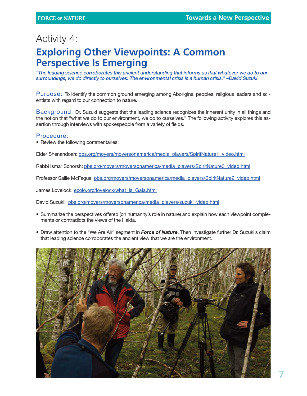### Activity 4: **Exploring Other Viewpoints: A Common Perspective Is Emerging**

*"The leading science corroborates this ancient understanding that informs us that whatever we do to our surroundings, we do directly to ourselves. The environmental crisis is a human crisis." –David Suzuki*

Purpose: To identify the common ground emerging among Aboriginal peoples, religious leaders and scientists with regard to our connection to nature.

Background: Dr. Suzuki suggests that the leading science recognizes the inherent unity in all things and the notion that "what we do to our environment, we do to ourselves." The following activity explores this assertion through interviews with spokespeople from a variety of fields.

#### Procedure:

• Review the following commentaries:

Elder Shenandoah: [pbs.org/moyers/moyersonamerica/media\\_players/SpiritNature1\\_video.html](http://www.pbs.org/moyers/moyersonamerica/media_players/SpiritNature1_video.html)

Rabbi Ismar Schorsh: [pbs.org/moyers/moyersonamerica/media\\_players/SpiritNature3\\_video.html](http://www.pbs.org/moyers/moyersonamerica/media_players/SpiritNature3_video.html)

Professor Sallie McFague: [pbs.org/moyers/moyersonamerica/media\\_players/SpiritNature2\\_video.html](http://www.pbs.org/moyers/moyersonamerica/media_players/SpiritNature2_video.html)

James Lovelock: [ecolo.org/lovelock/what\\_is\\_Gaia.html](http://www.ecolo.org/lovelock/what_is_Gaia.html)

David Suzuki: [pbs.org/moyers/moyersonamerica/media\\_players/suzuki\\_video.html](http://www.pbs.org/moyers/moyersonamerica/media_players/suzuki_video.html)

- Summarize the perspectives offered (on humanity's role in nature) and explain how each viewpoint complements or contradicts the views of the Haida.
- Draw attention to the "We Are Air" segment in *Force of Nature*. Then investigate further Dr. Suzuki's claim that leading science corroborates the ancient view that we are the environment.

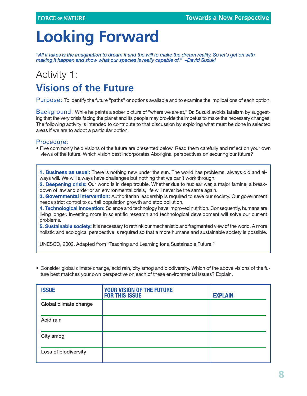## **Looking Forward**

*"All it takes is the imagination to dream it and the will to make the dream reality. So let's get on with making it happen and show what our species is really capable of." –David Suzuki*

## Activity 1: **Visions of the Future**

Purpose: To identify the future "paths" or options available and to examine the implications of each option.

Background: While he paints a sober picture of "where we are at," Dr. Suzuki avoids fatalism by suggesting that the very crisis facing the planet and its people may provide the impetus to make the necessary changes. The following activity is intended to contribute to that discussion by exploring what must be done in selected areas if we are to adopt a particular option.

#### Procedure:

• Five commonly held visions of the future are presented below. Read them carefully and reflect on your own views of the future. Which vision best incorporates Aboriginal perspectives on securing our future?

**1. Business as usual:** There is nothing new under the sun. The world has problems, always did and always will. We will always have challenges but nothing that we can't work through.

**2. Deepening crisis:** Our world is in deep trouble. Whether due to nuclear war, a major famine, a breakdown of law and order or an environmental crisis, life will never be the same again.

**3. Governmental intervention:** Authoritarian leadership is required to save our society. Our government needs strict control to curtail population growth and stop pollution.

**4. Technological innovation:** Science and technology have improved nutrition. Consequently, humans are living longer. Investing more in scientific research and technological development will solve our current problems.

**5. Sustainable society:** It is necessary to rethink our mechanistic and fragmented view of the world. A more holistic and ecological perspective is required so that a more humane and sustainable society is possible.

UNESCO, 2002. Adapted from "Teaching and Learning for a Sustainable Future."

• Consider global climate change, acid rain, city smog and biodiversity. Which of the above visions of the future best matches your own perspective on each of these environmental issues? Explain.

| <b>ISSUE</b>          | <b>YOUR VISION OF THE FUTURE</b><br><b>FOR THIS ISSUE</b> | <b>EXPLAIN</b> |
|-----------------------|-----------------------------------------------------------|----------------|
| Global climate change |                                                           |                |
| Acid rain             |                                                           |                |
| City smog             |                                                           |                |
| Loss of biodiversity  |                                                           |                |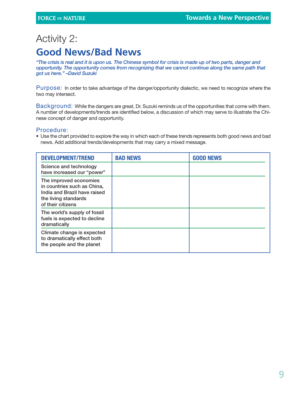### Activity 2: **Good News/Bad News**

*"The crisis is real and it is upon us. The Chinese symbol for crisis is made up of two parts, danger and opportunity. The opportunity comes from recognizing that we cannot continue along the same path that got us here." –David Suzuki* 

Purpose: In order to take advantage of the danger/opportunity dialectic, we need to recognize where the two may intersect.

Background: While the dangers are great, Dr. Suzuki reminds us of the opportunities that come with them. A number of developments/trends are identified below, a discussion of which may serve to illustrate the Chinese concept of danger and opportunity.

#### Procedure:

• Use the chart provided to explore the way in which each of these trends represents both good news and bad news. Add additional trends/developments that may carry a mixed message.

| <b>DEVELOPMENT/TREND</b>                                                                                                           | <b>BAD NEWS</b> | <b>GOOD NEWS</b> |
|------------------------------------------------------------------------------------------------------------------------------------|-----------------|------------------|
| Science and technology<br>have increased our "power"                                                                               |                 |                  |
| The improved economies<br>in countries such as China,<br>India and Brazil have raised<br>the living standards<br>of their citizens |                 |                  |
| The world's supply of fossil<br>fuels is expected to decline<br>dramatically                                                       |                 |                  |
| Climate change is expected<br>to dramatically effect both<br>the people and the planet                                             |                 |                  |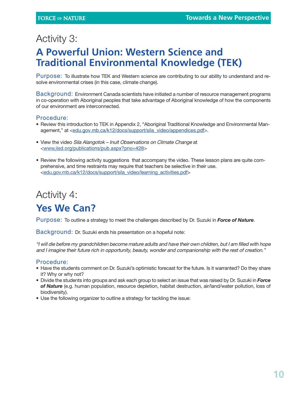## Activity 3:

### **A Powerful Union: Western Science and Traditional Environmental Knowledge (TEK)**

Purpose: To illustrate how TEK and Western science are contributing to our ability to understand and resolve environmental crises (in this case, climate change).

Background: Environment Canada scientists have initiated a number of resource management programs in co-operation with Aboriginal peoples that take advantage of Aboriginal knowledge of how the components of our environment are interconnected.

#### Procedure:

- Review this introduction to TEK in Appendix 2, "Aboriginal Traditional Knowledge and Environmental Management," at <[edu.gov.mb.ca/k12/docs/support/sila\\_video/appendices.pdf](http://www.edu.gov.mb.ca/k12/docs/support/sila_video/appendices.pdf)>.
- View the video Sila Alangotok Inuit Observations on Climate Change at <www.[iisd.org/publications/pub.aspx?pno=428](http://www.iisd.org/publications/pub.aspx?pno=428)>
- Review the following activity suggestions that accompany the video. These lesson plans are quite comprehensive, and time restraints may require that teachers be selective in their use. [<edu.gov.mb.ca/k12/docs/support/sila\\_video/learning\\_activities.pdf>](http://www.edu.gov.mb.ca/k12/docs/support/sila_video/learning_activities.pdf)

## Activity 4:

### **Yes We Can?**

Purpose: To outline a strategy to meet the challenges described by Dr. Suzuki in *Force of Nature*.

Background: Dr. Suzuki ends his presentation on a hopeful note:

"I will die before my grandchildren become mature adults and have their own children, but I am filled with hope and I imagine their future rich in opportunity, beauty, wonder and companionship with the rest of creation."

#### Procedure:

- Have the students comment on Dr. Suzuki's optimistic forecast for the future. Is it warranted? Do they share it? Why or why not?
- Divide the students into groups and ask each group to select an issue that was raised by Dr. Suzuki in *Force of Nature* (e.g. human population, resource depletion, habitat destruction, air/land/water pollution, loss of biodiversity).
- Use the following organizer to outline a strategy for tackling the issue: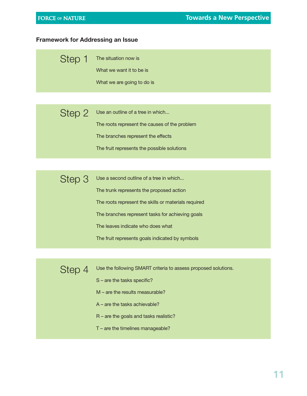#### **Framework for Addressing an Issue**

| Step 1 The situation now is |
|-----------------------------|
| What we want it to be is    |
| What we are going to do is  |

Use an outline of a tree in which... The roots represent the causes of the problem The branches represent the effects Step 2

The fruit represents the possible solutions

| Step 3 | Use a second outline of a tree in which              |
|--------|------------------------------------------------------|
|        | The trunk represents the proposed action             |
|        | The roots represent the skills or materials required |
|        | The branches represent tasks for achieving goals     |
|        | The leaves indicate who does what                    |
|        | The fruit represents goals indicated by symbols      |

Step 4

Use the following SMART criteria to assess proposed solutions.

- S are the tasks specific?
- M are the results measurable?
- A are the tasks achievable?
- R are the goals and tasks realistic?
- T are the timelines manageable?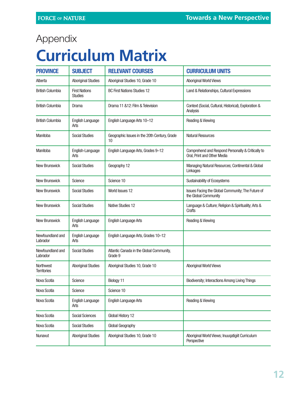## Appendix

## **Curriculum Matrix**

| <b>PROVINCE</b>                        | <b>SUBJECT</b>                         | <b>RELEVANT COURSES</b>                             | <b>CURRICULUM UNITS</b>                                                          |
|----------------------------------------|----------------------------------------|-----------------------------------------------------|----------------------------------------------------------------------------------|
| Alberta                                | <b>Aboriginal Studies</b>              | Aboriginal Studies 10, Grade 10                     | <b>Aboriginal World Views</b>                                                    |
| <b>British Columbia</b>                | <b>First Nations</b><br><b>Studies</b> | <b>BC First Nations Studies 12</b>                  | Land & Relationships, Cultural Expressions                                       |
| <b>British Columbia</b>                | Drama                                  | Drama 11 & 12: Film & Television                    | Context (Social, Cultural, Historical), Exploration &<br>Analysis                |
| <b>British Columbia</b>                | <b>English Language</b><br>Arts        | English Language Arts 10-12                         | Reading & Viewing                                                                |
| Manitoba                               | <b>Social Studies</b>                  | Geographic Issues in the 20th Century, Grade<br>10  | <b>Natural Resources</b>                                                         |
| Manitoba                               | English-Language<br>Arts               | English Language Arts, Grades 9-12                  | Comprehend and Respond Personally & Critically to<br>Oral, Print and Other Media |
| <b>New Brunswick</b>                   | <b>Social Studies</b>                  | Geography 12                                        | Managing Natural Resources; Continental & Global<br>Linkages                     |
| <b>New Brunswick</b>                   | Science                                | Science 10                                          | Sustainability of Ecosystems                                                     |
| New Brunswick                          | <b>Social Studies</b>                  | World Issues 12                                     | Issues Facing the Global Community; The Future of<br>the Global Community        |
| <b>New Brunswick</b>                   | <b>Social Studies</b>                  | <b>Native Studies 12</b>                            | Language & Culture; Religion & Spirituality; Arts &<br>Crafts                    |
| New Brunswick                          | <b>English Language</b><br>Arts        | <b>English Language Arts</b>                        | Reading & Viewing                                                                |
| Newfoundland and<br>Labrador           | <b>English Language</b><br>Arts        | English Language Arts, Grades 10-12                 |                                                                                  |
| Newfoundland and<br>Labrador           | <b>Social Studies</b>                  | Atlantic Canada in the Global Community,<br>Grade 9 |                                                                                  |
| <b>Northwest</b><br><b>Territories</b> | <b>Aboriginal Studies</b>              | Aboriginal Studies 10, Grade 10                     | <b>Aboriginal World Views</b>                                                    |
| Nova Scotia                            | Science                                | Biology 11                                          | <b>Biodiversity; Interactions Among Living Things</b>                            |
| Nova Scotia                            | Science                                | Science 10                                          |                                                                                  |
| Nova Scotia                            | English Language<br>Arts               | <b>English Language Arts</b>                        | Reading & Viewing                                                                |
| Nova Scotia                            | <b>Social Sciences</b>                 | Global History 12                                   |                                                                                  |
| Nova Scotia                            | <b>Social Studies</b>                  | Global Geography                                    |                                                                                  |
| Nunavut                                | <b>Aboriginal Studies</b>              | Aboriginal Studies 10, Grade 10                     | Aboriginal World Views; Inuugatigiit Curriculum<br>Perspective                   |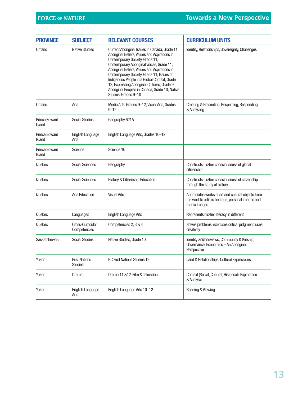| <b>PROVINCE</b>                       | <b>SUBJECT</b>                         | <b>RELEVANT COURSES</b>                                                                                                                                                                                                                                                                                                                                                                                                                                 | <b>CURRICULUM UNITS</b>                                                                                                  |
|---------------------------------------|----------------------------------------|---------------------------------------------------------------------------------------------------------------------------------------------------------------------------------------------------------------------------------------------------------------------------------------------------------------------------------------------------------------------------------------------------------------------------------------------------------|--------------------------------------------------------------------------------------------------------------------------|
| Ontario                               | <b>Native Studies</b>                  | Current Aboriginal Issues in Canada, Grade 11;<br>Aboriginal Beliefs, Values and Aspirations in<br>Contemporary Society, Grade 11;<br>Contemporary Aboriginal Voices, Grade 11;<br>Aboriginal Beliefs, Values and Aspirations in<br>Contemporary Society, Grade 11; Issues of<br>Indigenous People in a Global Context, Grade<br>12; Expressing Aboriginal Cultures, Grade 9;<br>Aboriginal Peoples in Canada, Grade 10; Native<br>Studies, Grades 9-10 | Identity, Relationships, Sovereignty, Challenges                                                                         |
| Ontario                               | Arts                                   | Media Arts, Grades 9-12; Visual Arts, Grades<br>$9 - 12$                                                                                                                                                                                                                                                                                                                                                                                                | Creating & Presenting, Respecting, Responding<br>& Analyzing                                                             |
| <b>Prince Edward</b><br><b>Island</b> | <b>Social Studies</b>                  | Geography 621A                                                                                                                                                                                                                                                                                                                                                                                                                                          |                                                                                                                          |
| <b>Prince Edward</b><br>Island        | <b>English Language</b><br>Arts        | English Language Arts, Grades 10-12                                                                                                                                                                                                                                                                                                                                                                                                                     |                                                                                                                          |
| <b>Prince Edward</b><br><b>Island</b> | Science                                | Science 10                                                                                                                                                                                                                                                                                                                                                                                                                                              |                                                                                                                          |
| Quebec                                | <b>Social Sciences</b>                 | Geography                                                                                                                                                                                                                                                                                                                                                                                                                                               | Constructs his/her consciousness of global<br>citizenship                                                                |
| Quebec                                | <b>Social Sciences</b>                 | History & Citizenship Education                                                                                                                                                                                                                                                                                                                                                                                                                         | Constructs his/her consciousness of citizenship<br>through the study of history                                          |
| Quebec                                | <b>Arts Education</b>                  | <b>Visual Arts</b>                                                                                                                                                                                                                                                                                                                                                                                                                                      | Appreciates works of art and cultural objects from<br>the world's artistic heritage, personal images and<br>media images |
| Quebec                                | Languages                              | <b>English Language Arts</b>                                                                                                                                                                                                                                                                                                                                                                                                                            | Represents his/her literacy in different                                                                                 |
| Quebec                                | Cross-Curricular<br>Competencies       | Competencies 2, 3 & 4                                                                                                                                                                                                                                                                                                                                                                                                                                   | Solves problems, exercises critical judgment, uses<br>creativity                                                         |
| Saskatchewan                          | <b>Social Studies</b>                  | Native Studies, Grade 10                                                                                                                                                                                                                                                                                                                                                                                                                                | Identity & Worldviews, Community & Kinship,<br>Governance, Economics - An Aboriginal<br>Perspective                      |
| Yukon                                 | <b>First Nations</b><br><b>Studies</b> | <b>BC First Nations Studies 12</b>                                                                                                                                                                                                                                                                                                                                                                                                                      | Land & Relationships, Cultural Expressions,                                                                              |
| Yukon                                 | Drama                                  | Drama 11 &12: Film & Television                                                                                                                                                                                                                                                                                                                                                                                                                         | Context (Social, Cultural, Historical), Exploration<br>& Analysis                                                        |
| Yukon                                 | <b>English Language</b><br>Arts        | English Language Arts 10-12                                                                                                                                                                                                                                                                                                                                                                                                                             | Reading & Viewing                                                                                                        |